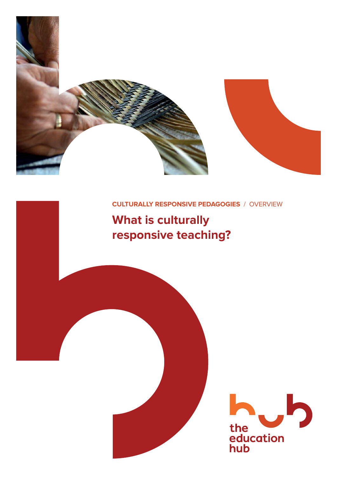

### **CULTURALLY RESPONSIVE PEDAGOGIES** / OVERVIEW

# **What is culturally responsive teaching?**

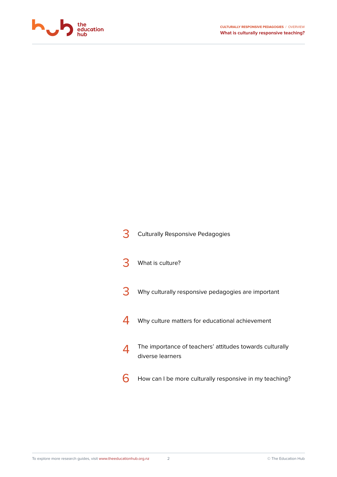

| <b>Culturally Responsive Pedagogies</b>                                      |
|------------------------------------------------------------------------------|
| What is culture?                                                             |
| Why culturally responsive pedagogies are important                           |
| Why culture matters for educational achievement                              |
| The importance of teachers' attitudes towards culturally<br>diverse learners |
| How can I be more culturally responsive in my teaching?                      |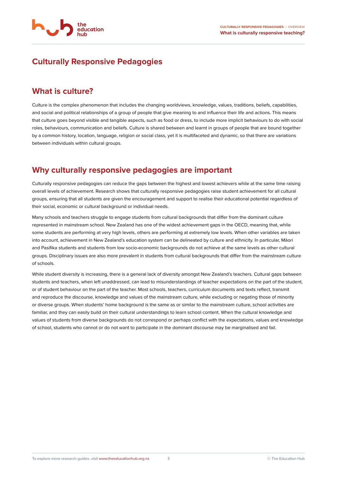

# **Culturally Responsive Pedagogies**

## **What is culture?**

Culture is the complex phenomenon that includes the changing worldviews, knowledge, values, traditions, beliefs, capabilities, and social and political relationships of a group of people that give meaning to and influence their life and actions. This means that culture goes beyond visible and tangible aspects, such as food or dress, to include more implicit behaviours to do with social roles, behaviours, communication and beliefs. Culture is shared between and learnt in groups of people that are bound together by a common history, location, language, religion or social class, yet it is multifaceted and dynamic, so that there are variations between individuals within cultural groups.

# **Why culturally responsive pedagogies are important**

Culturally responsive pedagogies can reduce the gaps between the highest and lowest achievers while at the same time raising overall levels of achievement. Research shows that culturally responsive pedagogies raise student achievement for all cultural groups, ensuring that all students are given the encouragement and support to realise their educational potential regardless of their social, economic or cultural background or individual needs.

Many schools and teachers struggle to engage students from cultural backgrounds that differ from the dominant culture represented in mainstream school. New Zealand has one of the widest achievement gaps in the OECD, meaning that, while some students are performing at very high levels, others are performing at extremely low levels. When other variables are taken into account, achievement in New Zealand's education system can be delineated by culture and ethnicity. In particular, Māori and Pasifika students and students from low socio-economic backgrounds do not achieve at the same levels as other cultural groups. Disciplinary issues are also more prevalent in students from cultural backgrounds that differ from the mainstream culture of schools.

While student diversity is increasing, there is a general lack of diversity amongst New Zealand's teachers. Cultural gaps between students and teachers, when left unaddressed, can lead to misunderstandings of teacher expectations on the part of the student, or of student behaviour on the part of the teacher. Most schools, teachers, curriculum documents and texts reflect, transmit and reproduce the discourse, knowledge and values of the mainstream culture, while excluding or negating those of minority or diverse groups. When students' home background is the same as or similar to the mainstream culture, school activities are familiar, and they can easily build on their cultural understandings to learn school content. When the cultural knowledge and values of students from diverse backgrounds do not correspond or perhaps conflict with the expectations, values and knowledge of school, students who cannot or do not want to participate in the dominant discourse may be marginalised and fail.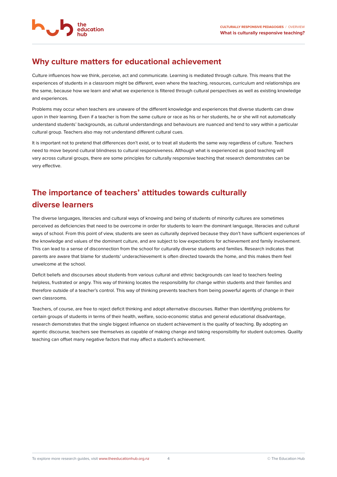# **Why culture matters for educational achievement**

Culture influences how we think, perceive, act and communicate. Learning is mediated through culture. This means that the experiences of students in a classroom might be different, even where the teaching, resources, curriculum and relationships are the same, because how we learn and what we experience is filtered through cultural perspectives as well as existing knowledge and experiences.

Problems may occur when teachers are unaware of the different knowledge and experiences that diverse students can draw upon in their learning. Even if a teacher is from the same culture or race as his or her students, he or she will not automatically understand students' backgrounds, as cultural understandings and behaviours are nuanced and tend to vary within a particular cultural group. Teachers also may not understand different cultural cues.

It is important not to pretend that differences don't exist, or to treat all students the same way regardless of culture. Teachers need to move beyond cultural blindness to cultural responsiveness. Although what is experienced as good teaching will vary across cultural groups, there are some principles for culturally responsive teaching that research demonstrates can be very effective.

# **The importance of teachers' attitudes towards culturally diverse learners**

The diverse languages, literacies and cultural ways of knowing and being of students of minority cultures are sometimes perceived as deficiencies that need to be overcome in order for students to learn the dominant language, literacies and cultural ways of school. From this point of view, students are seen as culturally deprived because they don't have sufficient experiences of the knowledge and values of the dominant culture, and are subject to low expectations for achievement and family involvement. This can lead to a sense of disconnection from the school for culturally diverse students and families. Research indicates that parents are aware that blame for students' underachievement is often directed towards the home, and this makes them feel unwelcome at the school.

Deficit beliefs and discourses about students from various cultural and ethnic backgrounds can lead to teachers feeling helpless, frustrated or angry. This way of thinking locates the responsibility for change within students and their families and therefore outside of a teacher's control. This way of thinking prevents teachers from being powerful agents of change in their own classrooms.

Teachers, of course, are free to reject deficit thinking and adopt alternative discourses. Rather than identifying problems for certain groups of students in terms of their health, welfare, socio-economic status and general educational disadvantage, research demonstrates that the single biggest influence on student achievement is the quality of teaching. By adopting an agentic discourse, teachers see themselves as capable of making change and taking responsibility for student outcomes. Quality teaching can offset many negative factors that may affect a student's achievement.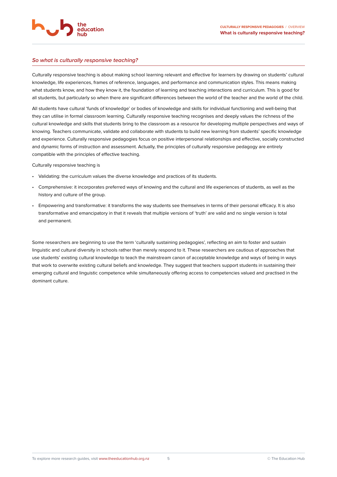

#### **So what is culturally responsive teaching?**

Culturally responsive teaching is about making school learning relevant and effective for learners by drawing on students' cultural knowledge, life experiences, frames of reference, languages, and performance and communication styles. This means making what students know, and how they know it, the foundation of learning and teaching interactions and curriculum. This is good for all students, but particularly so when there are significant differences between the world of the teacher and the world of the child.

All students have cultural 'funds of knowledge' or bodies of knowledge and skills for individual functioning and well-being that they can utilise in formal classroom learning. Culturally responsive teaching recognises and deeply values the richness of the cultural knowledge and skills that students bring to the classroom as a resource for developing multiple perspectives and ways of knowing. Teachers communicate, validate and collaborate with students to build new learning from students' specific knowledge and experience. Culturally responsive pedagogies focus on positive interpersonal relationships and effective, socially constructed and dynamic forms of instruction and assessment. Actually, the principles of culturally responsive pedagogy are entirely compatible with the principles of effective teaching.

Culturally responsive teaching is

- Validating: the curriculum values the diverse knowledge and practices of its students.
- Comprehensive: it incorporates preferred ways of knowing and the cultural and life experiences of students, as well as the history and culture of the group.
- Empowering and transformative: it transforms the way students see themselves in terms of their personal efficacy. It is also transformative and emancipatory in that it reveals that multiple versions of 'truth' are valid and no single version is total and permanent.

Some researchers are beginning to use the term 'culturally sustaining pedagogies', reflecting an aim to foster and sustain linguistic and cultural diversity in schools rather than merely respond to it. These researchers are cautious of approaches that use students' existing cultural knowledge to teach the mainstream canon of acceptable knowledge and ways of being in ways that work to overwrite existing cultural beliefs and knowledge. They suggest that teachers support students in sustaining their emerging cultural and linguistic competence while simultaneously offering access to competencies valued and practised in the dominant culture.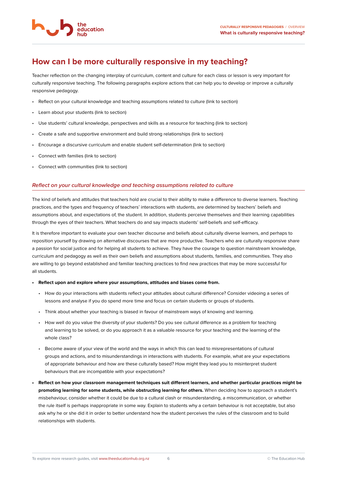

## **How can I be more culturally responsive in my teaching?**

Teacher reflection on the changing interplay of curriculum, content and culture for each class or lesson is very important for culturally responsive teaching. The following paragraphs explore actions that can help you to develop or improve a culturally responsive pedagogy.

- Reflect on your cultural knowledge and teaching assumptions related to culture (link to section)
- Learn about your students (link to section)
- Use students' cultural knowledge, perspectives and skills as a resource for teaching (link to section)
- Create a safe and supportive environment and build strong relationships (link to section)
- Encourage a discursive curriculum and enable student self-determination (link to section)
- Connect with families (link to section)
- Connect with communities (link to section)

#### **Reflect on your cultural knowledge and teaching assumptions related to culture**

The kind of beliefs and attitudes that teachers hold are crucial to their ability to make a difference to diverse learners. Teaching practices, and the types and frequency of teachers' interactions with students, are determined by teachers' beliefs and assumptions about, and expectations of, the student. In addition, students perceive themselves and their learning capabilities through the eyes of their teachers. What teachers do and say impacts students' self-beliefs and self-efficacy.

It is therefore important to evaluate your own teacher discourse and beliefs about culturally diverse learners, and perhaps to reposition yourself by drawing on alternative discourses that are more productive. Teachers who are culturally responsive share a passion for social justice and for helping all students to achieve. They have the courage to question mainstream knowledge, curriculum and pedagogy as well as their own beliefs and assumptions about students, families, and communities. They also are willing to go beyond established and familiar teaching practices to find new practices that may be more successful for all students.

#### **• Reflect upon and explore where your assumptions, attitudes and biases come from.**

- How do your interactions with students reflect your attitudes about cultural difference? Consider videoing a series of lessons and analyse if you do spend more time and focus on certain students or groups of students.
- Think about whether your teaching is biased in favour of mainstream ways of knowing and learning.
- How well do you value the diversity of your students? Do you see cultural difference as a problem for teaching and learning to be solved, or do you approach it as a valuable resource for your teaching and the learning of the whole class?
- Become aware of your view of the world and the ways in which this can lead to misrepresentations of cultural groups and actions, and to misunderstandings in interactions with students. For example, what are your expectations of appropriate behaviour and how are these culturally based? How might they lead you to misinterpret student behaviours that are incompatible with your expectations?
- **Reflect on how your classroom management techniques suit different learners, and whether particular practices might be promoting learning for some students, while obstructing learning for others.** When deciding how to approach a student's misbehaviour, consider whether it could be due to a cultural clash or misunderstanding, a miscommunication, or whether the rule itself is perhaps inappropriate in some way. Explain to students why a certain behaviour is not acceptable, but also ask why he or she did it in order to better understand how the student perceives the rules of the classroom and to build relationships with students.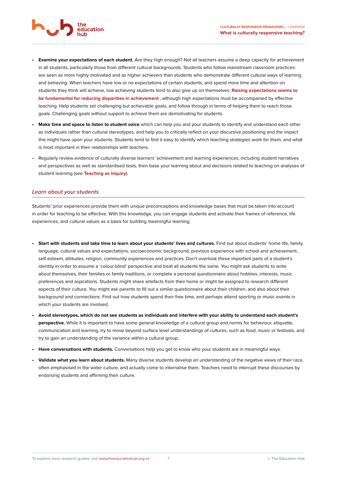

- **Examine your expectations of each student.** Are they high enough? Not all teachers assume a deep capacity for achievement in all students, particularly those from different cultural backgrounds. Students who follow mainstream classroom practices are seen as more highly motivated and as higher achievers than students who demonstrate different cultural ways of learning and behaving. When teachers have low or no expectations of certain students, and spend more time and attention on students they think will achieve, low achieving students tend to also give up on themselves. **Raising expectations seems to be fundamental for reducing disparities in achievement** , although high expectations must be accompanied by effective teaching. Help students set challenging but achievable goals, and follow through in terms of helping them to reach those goals. Challenging goals without support to achieve them are demotivating for students.
- **Make time and space to listen to student voice** which can help you and your students to identify and understand each other as individuals rather than cultural stereotypes, and help you to critically reflect on your discursive positioning and the impact this might have upon your students. Students tend to find it easy to identify which teaching strategies work for them, and what is most important in their relationships with teachers.
- Regularly review evidence of culturally diverse learners' achievement and learning experiences, including student narratives and perspectives as well as standardised tests, then base your learning about and decisions related to teaching on analyses of student learning (see **Teaching as Inquiry**).

#### **Learn about your students**

Students' prior experiences provide them with unique preconceptions and knowledge bases that must be taken into account in order for teaching to be effective. With this knowledge, you can engage students and activate their frames of reference, life experiences, and cultural values as a basis for building meaningful learning.

- Start with students and take time to learn about your students' lives and cultures. Find out about students' home life, family, language, cultural values and expectations, socioeconomic background, previous experience with school and achievement, self-esteem, attitudes, religion, community experiences and practices. Don't overlook these important parts of a student's identity in order to assume a 'colour-blind' perspective and treat all students the same. You might ask students to write about themselves, their families or family traditions, or complete a personal questionnaire about hobbies, interests, music preferences and aspirations. Students might share artefacts from their home or might be assigned to research different aspects of their culture. You might ask parents to fill out a similar questionnaire about their children, and also about their background and connections. Find out how students spend their free time, and perhaps attend sporting or music events in which your students are involved.
- **Avoid stereotypes, which do not see students as individuals and interfere with your ability to understand each student's perspective.** While it is important to have some general knowledge of a cultural group and norms for behaviour, etiquette, communication and learning, try to move beyond surface level understandings of cultures, such as food, music or festivals, and try to gain an understanding of the variance within a cultural group.
- **Have conversations with students.** Conversations help you get to know who your students are in meaningful ways.
- **Validate what you learn about students.** Many diverse students develop an understanding of the negative views of their race, often emphasised in the wider culture, and actually come to internalise them. Teachers need to interrupt these discourses by endorsing students and affirming their culture.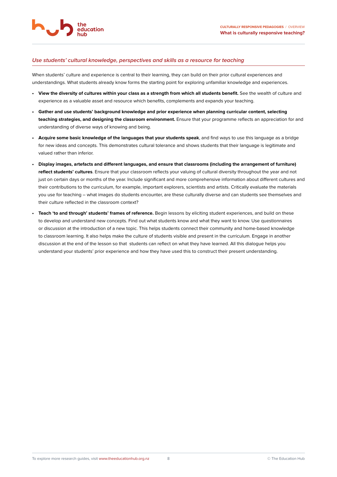#### **Use students' cultural knowledge, perspectives and skills as a resource for teaching**

When students' culture and experience is central to their learning, they can build on their prior cultural experiences and understandings. What students already know forms the starting point for exploring unfamiliar knowledge and experiences.

- **View the diversity of cultures within your class as a strength from which all students benefit.** See the wealth of culture and experience as a valuable asset and resource which benefits, complements and expands your teaching.
- **Gather and use students' background knowledge and prior experience when planning curricular content, selecting teaching strategies, and designing the classroom environment.** Ensure that your programme reflects an appreciation for and understanding of diverse ways of knowing and being.
- **Acquire some basic knowledge of the languages that your students speak**, and find ways to use this language as a bridge for new ideas and concepts. This demonstrates cultural tolerance and shows students that their language is legitimate and valued rather than inferior.
- **Display images, artefacts and different languages, and ensure that classrooms (including the arrangement of furniture) reflect students' cultures**. Ensure that your classroom reflects your valuing of cultural diversity throughout the year and not just on certain days or months of the year. Include significant and more comprehensive information about different cultures and their contributions to the curriculum, for example, important explorers, scientists and artists. Critically evaluate the materials you use for teaching – what images do students encounter, are these culturally diverse and can students see themselves and their culture reflected in the classroom context?
- **Teach 'to and through' students' frames of reference.** Begin lessons by eliciting student experiences, and build on these to develop and understand new concepts. Find out what students know and what they want to know. Use questionnaires or discussion at the introduction of a new topic. This helps students connect their community and home-based knowledge to classroom learning. It also helps make the culture of students visible and present in the curriculum. Engage in another discussion at the end of the lesson so that students can reflect on what they have learned. All this dialogue helps you understand your students' prior experience and how they have used this to construct their present understanding.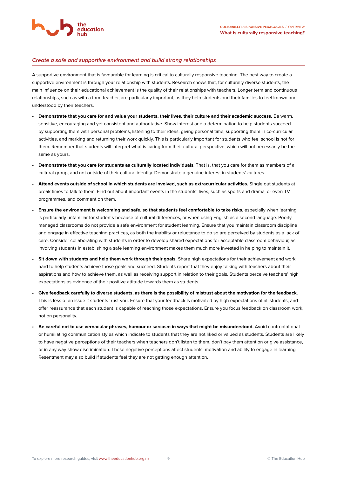#### **Create a safe and supportive environment and build strong relationships**

education

A supportive environment that is favourable for learning is critical to culturally responsive teaching. The best way to create a supportive environment is through your relationship with students. Research shows that, for culturally diverse students, the main influence on their educational achievement is the quality of their relationships with teachers. Longer term and continuous relationships, such as with a form teacher, are particularly important, as they help students and their families to feel known and understood by their teachers.

- **Demonstrate that you care for and value your students, their lives, their culture and their academic success.** Be warm, sensitive, encouraging and yet consistent and authoritative. Show interest and a determination to help students succeed by supporting them with personal problems, listening to their ideas, giving personal time, supporting them in co-curricular activities, and marking and returning their work quickly. This is particularly important for students who feel school is not for them. Remember that students will interpret what is caring from their cultural perspective, which will not necessarily be the same as yours.
- **Demonstrate that you care for students as culturally located individuals**. That is, that you care for them as members of a cultural group, and not outside of their cultural identity. Demonstrate a genuine interest in students' cultures.
- **Attend events outside of school in which students are involved, such as extracurricular activities.** Single out students at break times to talk to them. Find out about important events in the students' lives, such as sports and drama, or even TV programmes, and comment on them.
- **Ensure the environment is welcoming and safe, so that students feel comfortable to take risks,** especially when learning is particularly unfamiliar for students because of cultural differences, or when using English as a second language. Poorly managed classrooms do not provide a safe environment for student learning. Ensure that you maintain classroom discipline and engage in effective teaching practices, as both the inability or reluctance to do so are perceived by students as a lack of care. Consider collaborating with students in order to develop shared expectations for acceptable classroom behaviour, as involving students in establishing a safe learning environment makes them much more invested in helping to maintain it.
- **Sit down with students and help them work through their goals.** Share high expectations for their achievement and work hard to help students achieve those goals and succeed. Students report that they enjoy talking with teachers about their aspirations and how to achieve them, as well as receiving support in relation to their goals. Students perceive teachers' high expectations as evidence of their positive attitude towards them as students.
- **Give feedback carefully to diverse students, as there is the possibility of mistrust about the motivation for the feedback.** This is less of an issue if students trust you. Ensure that your feedback is motivated by high expectations of all students, and offer reassurance that each student is capable of reaching those expectations. Ensure you focus feedback on classroom work, not on personality.
- **Be careful not to use vernacular phrases, humour or sarcasm in ways that might be misunderstood.** Avoid confrontational or humiliating communication styles which indicate to students that they are not liked or valued as students. Students are likely to have negative perceptions of their teachers when teachers don't listen to them, don't pay them attention or give assistance, or in any way show discrimination. These negative perceptions affect students' motivation and ability to engage in learning. Resentment may also build if students feel they are not getting enough attention.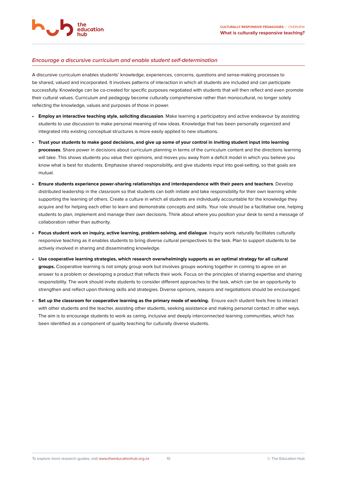#### **Encourage a discursive curriculum and enable student self-determination**

education

A discursive curriculum enables students' knowledge, experiences, concerns, questions and sense-making processes to be shared, valued and incorporated. It involves patterns of interaction in which all students are included and can participate successfully. Knowledge can be co-created for specific purposes negotiated with students that will then reflect and even promote their cultural values. Curriculum and pedagogy become culturally comprehensive rather than monocultural, no longer solely reflecting the knowledge, values and purposes of those in power.

- **Employ an interactive teaching style, soliciting discussion**. Make learning a participatory and active endeavour by assisting students to use discussion to make personal meaning of new ideas. Knowledge that has been personally organized and integrated into existing conceptual structures is more easily applied to new situations.
- **Trust your students to make good decisions, and give up some of your control in inviting student input into learning processes**. Share power in decisions about curriculum planning in terms of the curriculum content and the directions learning will take. This shows students you value their opinions, and moves you away from a deficit model in which you believe you know what is best for students. Emphasise shared responsibility, and give students input into goal-setting, so that goals are mutual.
- **Ensure students experience power-sharing relationships and interdependence with their peers and teachers**. Develop distributed leadership in the classroom so that students can both initiate and take responsibility for their own learning while supporting the learning of others. Create a culture in which all students are individually accountable for the knowledge they acquire and for helping each other to learn and demonstrate concepts and skills. Your role should be a facilitative one, helping students to plan, implement and manage their own decisions. Think about where you position your desk to send a message of collaboration rather than authority.
- **Focus student work on inquiry, active learning, problem-solving, and dialogue**. Inquiry work naturally facilitates culturally responsive teaching as it enables students to bring diverse cultural perspectives to the task. Plan to support students to be actively involved in sharing and disseminating knowledge.
- **Use cooperative learning strategies, which research overwhelmingly supports as an optimal strategy for all cultural groups.** Cooperative learning is not simply group work but involves groups working together in coming to agree on an answer to a problem or developing a product that reflects their work. Focus on the principles of sharing expertise and sharing responsibility. The work should invite students to consider different approaches to the task, which can be an opportunity to strengthen and reflect upon thinking skills and strategies. Diverse opinions, reasons and negotiations should be encouraged.
- **Set up the classroom for cooperative learning as the primary mode of working.** Ensure each student feels free to interact with other students and the teacher, assisting other students, seeking assistance and making personal contact in other ways. The aim is to encourage students to work as caring, inclusive and deeply interconnected learning communities, which has been identified as a component of quality teaching for culturally diverse students.